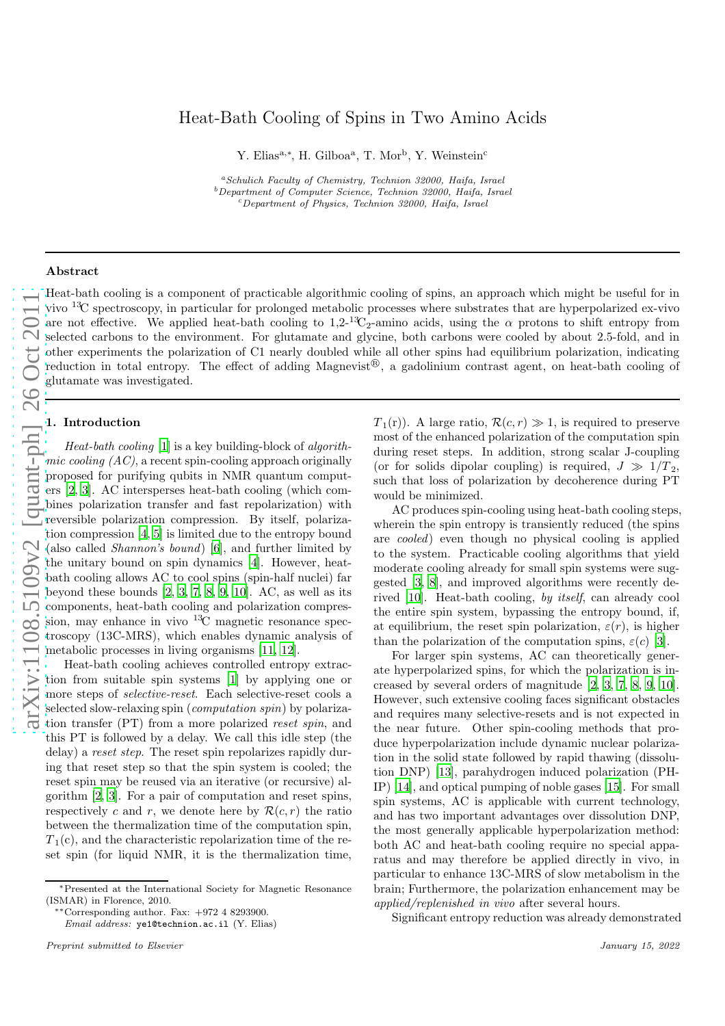# Heat-Bath Cooling of Spins in Two Amino Acids

Y. Elias<sup>a,∗</sup>, H. Gilboa<sup>a</sup>, T. Mor<sup>b</sup>, Y. Weinstein<sup>c</sup>

<sup>a</sup>Schulich Faculty of Chemistry, Technion 32000, Haifa, Israel  $b$ Department of Computer Science, Technion 32000, Haifa, Israel <sup>c</sup>Department of Physics, Technion 32000, Haifa, Israel

## Abstract

Heat-bath cooling is a component of practicable algorithmic cooling of spins, an approach which might be useful for in vivo <sup>13</sup>C spectroscopy, in particular for prolonged metabolic processes where substrates that are hyperpolarized ex-vivo are not effective. We applied heat-bath cooling to  $1,2^{-13}C_2$ -amino acids, using the  $\alpha$  protons to shift entropy from selected carbons to the environment. For glutamate and glycine, both carbons were cooled by about 2.5-fold, and in other experiments the polarization of C1 nearly doubled while all other spins had equilibrium polarization, indicating reduction in total entropy. The effect of adding Magnevist<sup>®</sup> reduction in total entropy. The effect of adding Magnevist<sup>®</sup>, a gadolinium contrast agent, on heat-bath cooling of glutamate was investigated.

## 1. Introduction

Heat-bath cooling [\[1](#page-3-0)] is a key building-block of algorithmic cooling  $(AC)$ , a recent spin-cooling approach originally proposed for purifying qubits in NMR quantum computers [\[2](#page-3-1), [3](#page-3-2)]. AC intersperses heat-bath cooling (which combines polarization transfer and fast repolarization) with reversible polarization compression. By itself, polarization compression [\[4,](#page-3-3) [5](#page-3-4)] is limited due to the entropy bound (also called Shannon's bound) [\[6](#page-4-0)], and further limited by the unitary bound on spin dynamics [\[4](#page-3-3)]. However, heatbath cooling allows AC to cool spins (spin-half nuclei) far beyond these bounds [\[2,](#page-3-1) [3,](#page-3-2) [7](#page-4-1), [8](#page-4-2), [9,](#page-4-3) [10\]](#page-4-4). AC, as well as its components, heat-bath cooling and polarization compression, may enhance in vivo <sup>13</sup>C magnetic resonance spectroscopy (13C-MRS), which enables dynamic analysis of metabolic processes in living organisms [\[11,](#page-4-5) [12\]](#page-4-6).

Heat-bath cooling achieves controlled entropy extraction from suitable spin systems [\[1\]](#page-3-0) by applying one or more steps of *selective-reset*. Each selective-reset cools a selected slow-relaxing spin (*computation spin*) by polarization transfer (PT) from a more polarized reset spin, and this PT is followed by a delay. We call this idle step (the delay) a reset step. The reset spin repolarizes rapidly during that reset step so that the spin system is cooled; the reset spin may be reused via an iterative (or recursive) algorithm [\[2](#page-3-1), [3](#page-3-2)]. For a pair of computation and reset spins, respectively c and r, we denote here by  $\mathcal{R}(c, r)$  the ratio between the thermalization time of the computation spin,  $T_1(c)$ , and the characteristic repolarization time of the reset spin (for liquid NMR, it is the thermalization time,

Email address: ye1@technion.ac.il (Y. Elias)

 $T_1(r)$ ). A large ratio,  $\mathcal{R}(c, r) \gg 1$ , is required to preserve most of the enhanced polarization of the computation spin during reset steps. In addition, strong scalar J-coupling (or for solids dipolar coupling) is required,  $J \gg 1/T_2$ , such that loss of polarization by decoherence during PT would be minimized.

AC produces spin-cooling using heat-bath cooling steps, wherein the spin entropy is transiently reduced (the spins are cooled) even though no physical cooling is applied to the system. Practicable cooling algorithms that yield moderate cooling already for small spin systems were suggested [\[3,](#page-3-2) [8\]](#page-4-2), and improved algorithms were recently derived [\[10](#page-4-4)]. Heat-bath cooling, by itself, can already cool the entire spin system, bypassing the entropy bound, if, at equilibrium, the reset spin polarization,  $\varepsilon(r)$ , is higher than the polarization of the computation spins,  $\varepsilon(c)$  [\[3](#page-3-2)].

For larger spin systems, AC can theoretically generate hyperpolarized spins, for which the polarization is increased by several orders of magnitude [\[2](#page-3-1), [3,](#page-3-2) [7,](#page-4-1) [8](#page-4-2), [9,](#page-4-3) [10](#page-4-4)]. However, such extensive cooling faces significant obstacles and requires many selective-resets and is not expected in the near future. Other spin-cooling methods that produce hyperpolarization include dynamic nuclear polarization in the solid state followed by rapid thawing (dissolution DNP) [\[13](#page-4-7)], parahydrogen induced polarization (PH-IP) [\[14\]](#page-4-8), and optical pumping of noble gases [\[15](#page-4-9)]. For small spin systems, AC is applicable with current technology, and has two important advantages over dissolution DNP, the most generally applicable hyperpolarization method: both AC and heat-bath cooling require no special apparatus and may therefore be applied directly in vivo, in particular to enhance 13C-MRS of slow metabolism in the brain; Furthermore, the polarization enhancement may be applied/replenished in vivo after several hours.

Significant entropy reduction was already demonstrated

<sup>∗</sup>Presented at the International Society for Magnetic Resonance (ISMAR) in Florence, 2010.

<sup>∗∗</sup>Corresponding author. Fax: +972 4 8293900.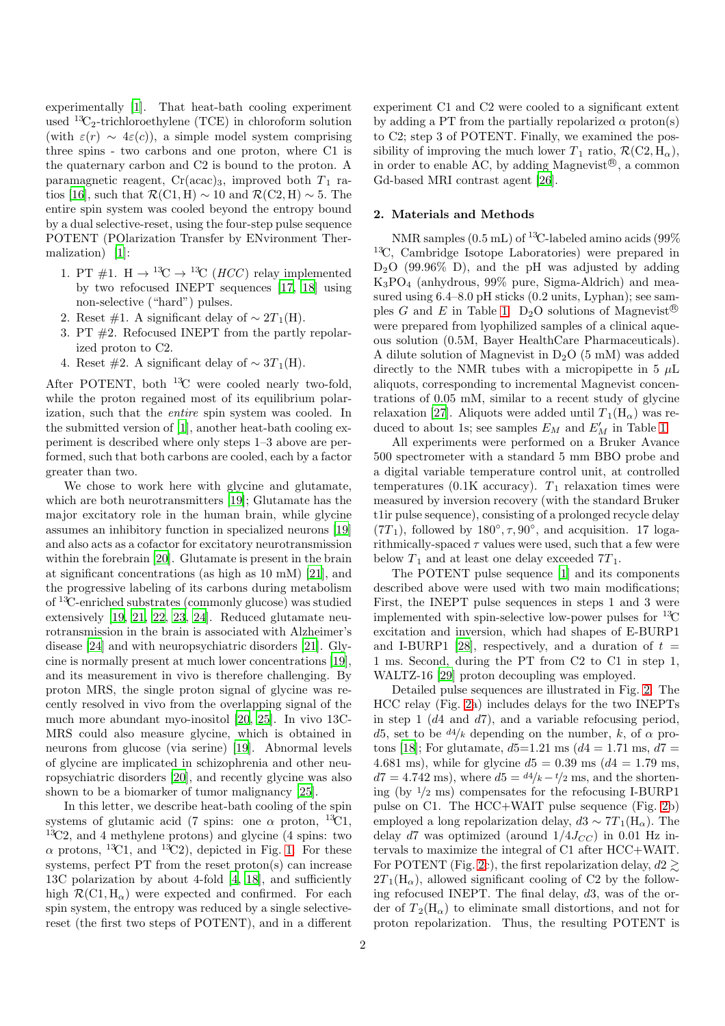experimentally [\[1\]](#page-3-0). That heat-bath cooling experiment used  ${}^{13}C_2$ -trichloroethylene (TCE) in chloroform solution (with  $\varepsilon(r) \sim 4\varepsilon(c)$ ), a simple model system comprising three spins - two carbons and one proton, where C1 is the quaternary carbon and C2 is bound to the proton. A paramagnetic reagent,  $Cr(\text{acac})_3$ , improved both  $T_1$  ra-tios [\[16\]](#page-4-10), such that  $\mathcal{R}(\text{C1}, \text{H}) \sim 10$  and  $\mathcal{R}(\text{C2}, \text{H}) \sim 5$ . The entire spin system was cooled beyond the entropy bound by a dual selective-reset, using the four-step pulse sequence POTENT (POlarization Transfer by ENvironment Thermalization) [\[1](#page-3-0)]:

- 1. PT #1. H  $\rightarrow$  <sup>13</sup>C  $\rightarrow$  <sup>13</sup>C (*HCC*) relay implemented by two refocused INEPT sequences [\[17,](#page-4-11) [18](#page-4-12)] using non-selective ("hard") pulses.
- 2. Reset #1. A significant delay of  $\sim 2T_1(H)$ .
- 3. PT #2. Refocused INEPT from the partly repolarized proton to C2.
- 4. Reset #2. A significant delay of  $\sim 3T_1(H)$ .

After POTENT, both  ${}^{13}C$  were cooled nearly two-fold, while the proton regained most of its equilibrium polarization, such that the entire spin system was cooled. In the submitted version of [\[1\]](#page-3-0), another heat-bath cooling experiment is described where only steps 1–3 above are performed, such that both carbons are cooled, each by a factor greater than two.

We chose to work here with glycine and glutamate, which are both neurotransmitters [\[19\]](#page-4-13); Glutamate has the major excitatory role in the human brain, while glycine assumes an inhibitory function in specialized neurons [\[19\]](#page-4-13) and also acts as a cofactor for excitatory neurotransmission within the forebrain [\[20\]](#page-4-14). Glutamate is present in the brain at significant concentrations (as high as 10 mM) [\[21\]](#page-4-15), and the progressive labeling of its carbons during metabolism of <sup>13</sup>C-enriched substrates (commonly glucose) was studied extensively [\[19,](#page-4-13) [21,](#page-4-15) [22,](#page-4-16) [23](#page-4-17), [24\]](#page-4-18). Reduced glutamate neurotransmission in the brain is associated with Alzheimer's disease [\[24](#page-4-18)] and with neuropsychiatric disorders [\[21\]](#page-4-15). Glycine is normally present at much lower concentrations [\[19](#page-4-13)], and its measurement in vivo is therefore challenging. By proton MRS, the single proton signal of glycine was recently resolved in vivo from the overlapping signal of the much more abundant myo-inositol [\[20,](#page-4-14) [25\]](#page-4-19). In vivo 13C-MRS could also measure glycine, which is obtained in neurons from glucose (via serine) [\[19\]](#page-4-13). Abnormal levels of glycine are implicated in schizophrenia and other neuropsychiatric disorders [\[20](#page-4-14)], and recently glycine was also shown to be a biomarker of tumor malignancy [\[25\]](#page-4-19).

In this letter, we describe heat-bath cooling of the spin systems of glutamic acid (7 spins: one  $\alpha$  proton, <sup>13</sup>C1,  ${}^{13}C2$ , and 4 methylene protons) and glycine (4 spins: two  $\alpha$  protons, <sup>13</sup>C1, and <sup>13</sup>C2), depicted in Fig. [1.](#page-4-20) For these systems, perfect PT from the reset proton(s) can increase 13C polarization by about 4-fold [\[4](#page-3-3), [18](#page-4-12)], and sufficiently high  $\mathcal{R}(\text{C1}, \text{H}_{\alpha})$  were expected and confirmed. For each spin system, the entropy was reduced by a single selectivereset (the first two steps of POTENT), and in a different

experiment C1 and C2 were cooled to a significant extent by adding a PT from the partially repolarized  $\alpha$  proton(s) to C2; step 3 of POTENT. Finally, we examined the possibility of improving the much lower  $T_1$  ratio,  $\mathcal{R}(\text{C2}, \text{H}_{\alpha})$ , in order to enable AC, by adding Magnevist<sup>®</sup>, a common Gd-based MRI contrast agent [\[26\]](#page-4-21).

# 2. Materials and Methods

NMR samples  $(0.5 \text{ mL})$  of <sup>13</sup>C-labeled amino acids  $(99\%$ <sup>13</sup>C, Cambridge Isotope Laboratories) were prepared in  $D_2O$  (99.96% D), and the pH was adjusted by adding K3PO<sup>4</sup> (anhydrous, 99% pure, Sigma-Aldrich) and measured using  $6.4-8.0$  pH sticks  $(0.2 \text{ units}, \text{Lyphan})$ ; see sam-ples G and E in Table [1.](#page-6-0)  $D_2O$  solutions of Magnevist<sup>®</sup> were prepared from lyophilized samples of a clinical aqueous solution (0.5M, Bayer HealthCare Pharmaceuticals). A dilute solution of Magnevist in  $D_2O(5 \text{ mM})$  was added directly to the NMR tubes with a micropipette in 5  $\mu$ L aliquots, corresponding to incremental Magnevist concentrations of 0.05 mM, similar to a recent study of glycine relaxation [\[27\]](#page-4-22). Aliquots were added until  $T_1(H_\alpha)$  was reduced to about 1s; see samples  $E_M$  and  $E'_M$  in Table [1.](#page-6-0)

All experiments were performed on a Bruker Avance 500 spectrometer with a standard 5 mm BBO probe and a digital variable temperature control unit, at controlled temperatures (0.1K accuracy).  $T_1$  relaxation times were measured by inversion recovery (with the standard Bruker t1ir pulse sequence), consisting of a prolonged recycle delay  $(7T_1)$ , followed by  $180^\circ, \tau, 90^\circ$ , and acquisition. 17 logarithmically-spaced  $\tau$  values were used, such that a few were below  $T_1$  and at least one delay exceeded  $7T_1$ .

The POTENT pulse sequence [\[1](#page-3-0)] and its components described above were used with two main modifications; First, the INEPT pulse sequences in steps 1 and 3 were implemented with spin-selective low-power pulses for  ${}^{13}C$ excitation and inversion, which had shapes of E-BURP1 and I-BURP1 [\[28\]](#page-4-23), respectively, and a duration of  $t =$ 1 ms. Second, during the PT from C2 to C1 in step 1, WALTZ-16 [\[29](#page-4-24)] proton decoupling was employed.

Detailed pulse sequences are illustrated in Fig. [2.](#page-4-25) The HCC relay (Fig. [2a](#page-4-25)) includes delays for the two INEPTs in step 1  $(d4 \text{ and } d7)$ , and a variable refocusing period, d5, set to be  $d^4/k$  depending on the number, k, of  $\alpha$  pro-tons [\[18\]](#page-4-12); For glutamate,  $d5=1.21$  ms  $(d4 = 1.71$  ms,  $d7 =$ 4.681 ms), while for glycine  $d5 = 0.39$  ms ( $d4 = 1.79$  ms,  $d7 = 4.742$  ms), where  $d5 = \frac{d4}{k} - \frac{t}{2}$  ms, and the shortening (by  $1/2$  ms) compensates for the refocusing I-BURP1 pulse on C1. The HCC+WAIT pulse sequence (Fig. [2b](#page-4-25)) employed a long repolarization delay,  $d3 \sim 7T_1(H_\alpha)$ . The delay d7 was optimized (around  $1/4J_{CC}$ ) in 0.01 Hz intervals to maximize the integral of C1 after HCC+WAIT. For POTENT (Fig. [2c](#page-4-25)), the first repolarization delay,  $d2 \geq$  $2T_1(H_\alpha)$ , allowed significant cooling of C2 by the following refocused INEPT. The final delay, d3, was of the order of  $T_2(H_\alpha)$  to eliminate small distortions, and not for proton repolarization. Thus, the resulting POTENT is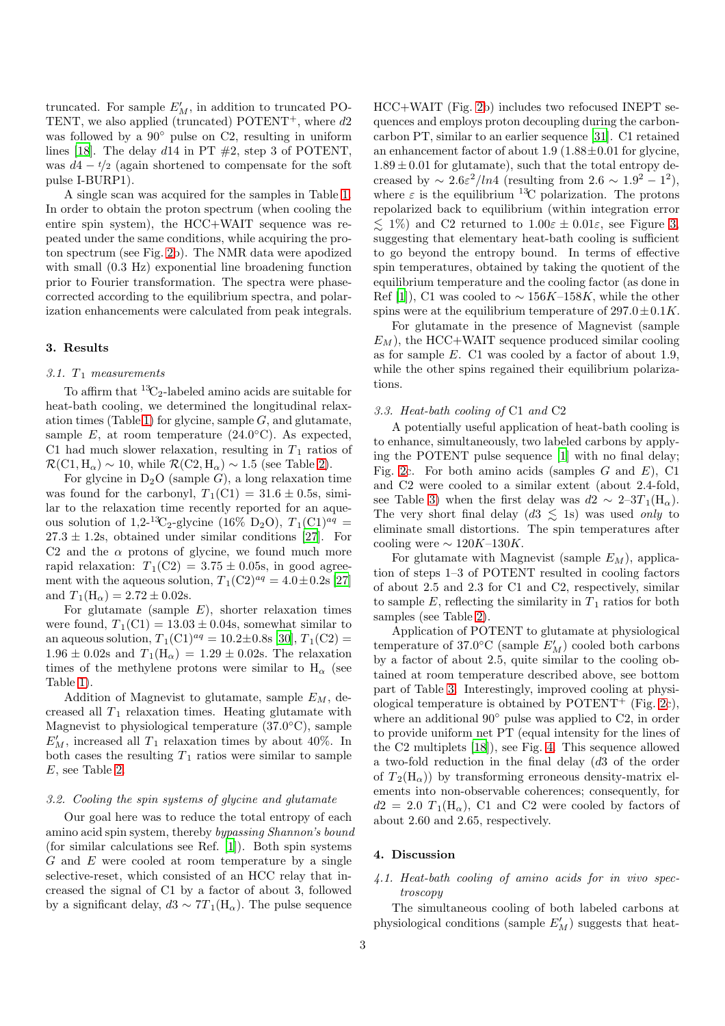truncated. For sample  $E'_M$ , in addition to truncated PO-TENT, we also applied (truncated) POTENT<sup>+</sup>, where  $d2$ was followed by a  $90°$  pulse on C2, resulting in uniform lines [\[18\]](#page-4-12). The delay  $d14$  in PT  $\#2$ , step 3 of POTENT, was  $d4 - t/2$  (again shortened to compensate for the soft pulse I-BURP1).

A single scan was acquired for the samples in Table [1.](#page-6-0) In order to obtain the proton spectrum (when cooling the entire spin system), the HCC+WAIT sequence was repeated under the same conditions, while acquiring the proton spectrum (see Fig. [2b](#page-4-25)). The NMR data were apodized with small  $(0.3 \text{ Hz})$  exponential line broadening function prior to Fourier transformation. The spectra were phasecorrected according to the equilibrium spectra, and polarization enhancements were calculated from peak integrals.

#### 3. Results

# 3.1.  $T_1$  measurements

To affirm that  ${}^{13}C_2$ -labeled amino acids are suitable for heat-bath cooling, we determined the longitudinal relax-ation times (Table [1\)](#page-6-0) for glycine, sample  $G$ , and glutamate, sample  $E$ , at room temperature (24.0 $^{\circ}$ C). As expected, C1 had much slower relaxation, resulting in  $T_1$  ratios of  $\mathcal{R}(\text{C1}, \text{H}_{\alpha}) \sim 10$ , while  $\mathcal{R}(\text{C2}, \text{H}_{\alpha}) \sim 1.5$  (see Table [2\)](#page-6-1).

For glycine in  $D_2O$  (sample G), a long relaxation time was found for the carbonyl,  $T_1(C1) = 31.6 \pm 0.5$ s, similar to the relaxation time recently reported for an aqueous solution of 1,2-<sup>13</sup>C<sub>2</sub>-glycine (16% D<sub>2</sub>O),  $T_1$ (C1)<sup>*aq*</sup> =  $27.3 \pm 1.2$ s, obtained under similar conditions [\[27\]](#page-4-22). For C2 and the  $\alpha$  protons of glycine, we found much more rapid relaxation:  $T_1(C2) = 3.75 \pm 0.05$ s, in good agreement with the aqueous solution,  $T_1(C2)^{aq} = 4.0 \pm 0.2$ s [\[27\]](#page-4-22) and  $T_1(H_\alpha) = 2.72 \pm 0.02$ s.

For glutamate (sample  $E$ ), shorter relaxation times were found,  $T_1(C1) = 13.03 \pm 0.04$ s, somewhat similar to an aqueous solution,  $T_1({\rm C1})^{aq} = 10.2 \pm 0.8$  [\[30\]](#page-4-26),  $T_1({\rm C2}) =$  $1.96 \pm 0.02$ s and  $T_1(H_\alpha) = 1.29 \pm 0.02$ s. The relaxation times of the methylene protons were similar to  $H_{\alpha}$  (see Table [1\)](#page-6-0).

Addition of Magnevist to glutamate, sample  $E_M$ , decreased all  $T_1$  relaxation times. Heating glutamate with Magnevist to physiological temperature (37.0°C), sample  $E'_M$ , increased all  $T_1$  relaxation times by about 40%. In both cases the resulting  $T_1$  ratios were similar to sample E, see Table [2.](#page-6-1)

# 3.2. Cooling the spin systems of glycine and glutamate

Our goal here was to reduce the total entropy of each amino acid spin system, thereby bypassing Shannon's bound (for similar calculations see Ref. [\[1\]](#page-3-0)). Both spin systems G and E were cooled at room temperature by a single selective-reset, which consisted of an HCC relay that increased the signal of C1 by a factor of about 3, followed by a significant delay,  $d3 \sim 7T_1(H_\alpha)$ . The pulse sequence

HCC+WAIT (Fig. [2b](#page-4-25)) includes two refocused INEPT sequences and employs proton decoupling during the carboncarbon PT, similar to an earlier sequence [\[31\]](#page-4-27). C1 retained an enhancement factor of about 1.9  $(1.88\pm0.01$  for glycine,  $1.89 \pm 0.01$  for glutamate), such that the total entropy decreased by  $\sim 2.6\varepsilon^2/ln4$  (resulting from  $2.6 \sim 1.9^2 - 1^2$ ), where  $\varepsilon$  is the equilibrium <sup>13</sup>C polarization. The protons repolarized back to equilibrium (within integration error  $\leq 1\%$ ) and C2 returned to  $1.00\varepsilon \pm 0.01\varepsilon$ , see Figure [3,](#page-5-0) suggesting that elementary heat-bath cooling is sufficient to go beyond the entropy bound. In terms of effective spin temperatures, obtained by taking the quotient of the equilibrium temperature and the cooling factor (as done in Ref [\[1\]](#page-3-0)), C1 was cooled to  $\sim 156K-158K$ , while the other spins were at the equilibrium temperature of  $297.0 \pm 0.1K$ .

For glutamate in the presence of Magnevist (sample  $E_M$ ), the HCC+WAIT sequence produced similar cooling as for sample E. C1 was cooled by a factor of about 1.9, while the other spins regained their equilibrium polarizations.

# 3.3. Heat-bath cooling of C1 and C2

A potentially useful application of heat-bath cooling is to enhance, simultaneously, two labeled carbons by applying the POTENT pulse sequence [\[1\]](#page-3-0) with no final delay; Fig. [2c](#page-4-25). For both amino acids (samples  $G$  and  $E$ ), C1 and C2 were cooled to a similar extent (about 2.4-fold, see Table [3\)](#page-6-2) when the first delay was  $d2 \sim 2-3T_1(H_\alpha)$ . The very short final delay  $(d3 \leq 1s)$  was used only to eliminate small distortions. The spin temperatures after cooling were  $\sim 120K-130K$ .

For glutamate with Magnevist (sample  $E_M$ ), application of steps 1–3 of POTENT resulted in cooling factors of about 2.5 and 2.3 for C1 and C2, respectively, similar to sample  $E$ , reflecting the similarity in  $T_1$  ratios for both samples (see Table [2\)](#page-6-1).

Application of POTENT to glutamate at physiological temperature of 37.0 $^{\circ}$ C (sample  $E'_M$ ) cooled both carbons by a factor of about 2.5, quite similar to the cooling obtained at room temperature described above, see bottom part of Table [3.](#page-6-2) Interestingly, improved cooling at physiological temperature is obtained by  $POTENT^+$  (Fig. [2c](#page-4-25)), where an additional 90◦ pulse was applied to C2, in order to provide uniform net PT (equal intensity for the lines of the C2 multiplets [\[18](#page-4-12)]), see Fig. [4.](#page-5-1) This sequence allowed a two-fold reduction in the final delay (d3 of the order of  $T_2(H_\alpha)$  by transforming erroneous density-matrix elements into non-observable coherences; consequently, for  $d2 = 2.0 T_1(H_\alpha)$ , C1 and C2 were cooled by factors of about 2.60 and 2.65, respectively.

# 4. Discussion

# 4.1. Heat-bath cooling of amino acids for in vivo spectroscopy

The simultaneous cooling of both labeled carbons at physiological conditions (sample  $E'_M$ ) suggests that heat-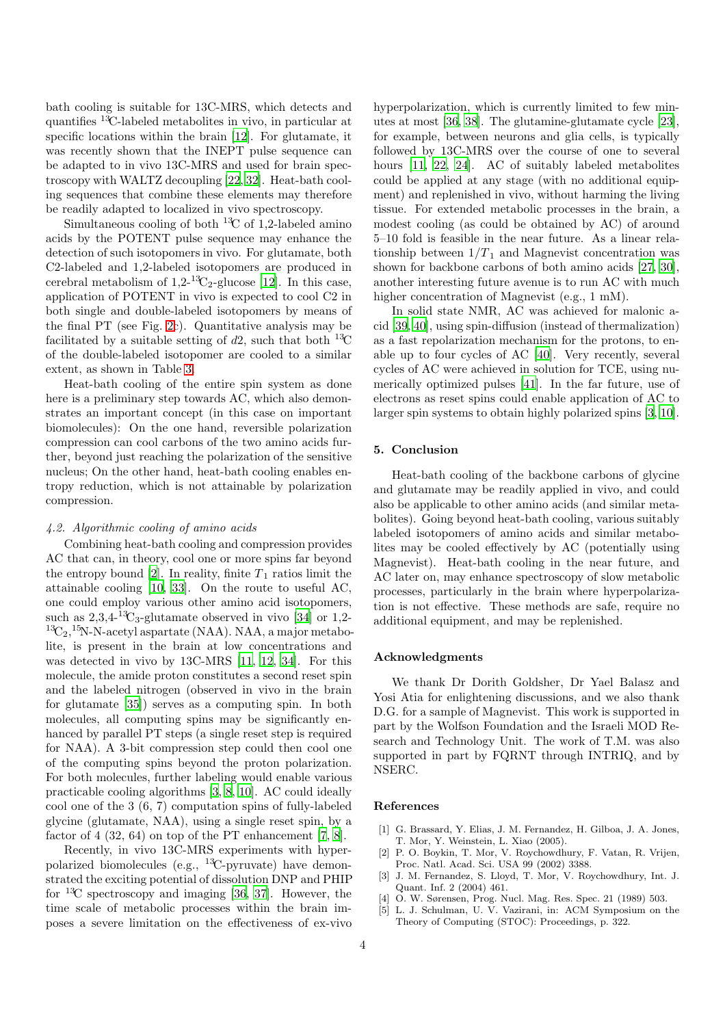bath cooling is suitable for 13C-MRS, which detects and quantifies <sup>13</sup>C-labeled metabolites in vivo, in particular at specific locations within the brain [\[12\]](#page-4-6). For glutamate, it was recently shown that the INEPT pulse sequence can be adapted to in vivo 13C-MRS and used for brain spectroscopy with WALTZ decoupling [\[22](#page-4-16), [32](#page-4-28)]. Heat-bath cooling sequences that combine these elements may therefore be readily adapted to localized in vivo spectroscopy.

Simultaneous cooling of both  ${}^{13}C$  of 1,2-labeled amino acids by the POTENT pulse sequence may enhance the detection of such isotopomers in vivo. For glutamate, both C2-labeled and 1,2-labeled isotopomers are produced in cerebral metabolism of  $1,2^{-13}C_2$ -glucose [\[12\]](#page-4-6). In this case, application of POTENT in vivo is expected to cool C2 in both single and double-labeled isotopomers by means of the final PT (see Fig. [2c](#page-4-25)). Quantitative analysis may be facilitated by a suitable setting of  $d2$ , such that both <sup>13</sup>C of the double-labeled isotopomer are cooled to a similar extent, as shown in Table [3.](#page-6-2)

Heat-bath cooling of the entire spin system as done here is a preliminary step towards AC, which also demonstrates an important concept (in this case on important biomolecules): On the one hand, reversible polarization compression can cool carbons of the two amino acids further, beyond just reaching the polarization of the sensitive nucleus; On the other hand, heat-bath cooling enables entropy reduction, which is not attainable by polarization compression.

# 4.2. Algorithmic cooling of amino acids

Combining heat-bath cooling and compression provides AC that can, in theory, cool one or more spins far beyond the entropy bound [\[2\]](#page-3-1). In reality, finite  $T_1$  ratios limit the attainable cooling [\[10,](#page-4-4) [33](#page-4-29)]. On the route to useful AC, one could employ various other amino acid isotopomers, such as  $2,3,4^{-13}C_3$ -glutamate observed in vivo [\[34\]](#page-4-30) or 1,2- ${}^{13}C_2, {}^{15}N$ -N-acetyl aspartate (NAA). NAA, a major metabolite, is present in the brain at low concentrations and was detected in vivo by 13C-MRS [\[11](#page-4-5), [12](#page-4-6), [34](#page-4-30)]. For this molecule, the amide proton constitutes a second reset spin and the labeled nitrogen (observed in vivo in the brain for glutamate [\[35](#page-4-31)]) serves as a computing spin. In both molecules, all computing spins may be significantly enhanced by parallel PT steps (a single reset step is required for NAA). A 3-bit compression step could then cool one of the computing spins beyond the proton polarization. For both molecules, further labeling would enable various practicable cooling algorithms [\[3](#page-3-2), [8](#page-4-2), [10](#page-4-4)]. AC could ideally cool one of the 3 (6, 7) computation spins of fully-labeled glycine (glutamate, NAA), using a single reset spin, by a factor of  $4$  (32, 64) on top of the PT enhancement [\[7](#page-4-1), [8](#page-4-2)].

Recently, in vivo 13C-MRS experiments with hyperpolarized biomolecules (e.g.,  $^{13}$ C-pyruvate) have demonstrated the exciting potential of dissolution DNP and PHIP for  ${}^{13}C$  spectroscopy and imaging [\[36](#page-4-32), [37\]](#page-4-33). However, the time scale of metabolic processes within the brain imposes a severe limitation on the effectiveness of ex-vivo hyperpolarization, which is currently limited to few minutes at most [\[36](#page-4-32), [38\]](#page-4-34). The glutamine-glutamate cycle [\[23](#page-4-17)], for example, between neurons and glia cells, is typically followed by 13C-MRS over the course of one to several hours [\[11](#page-4-5), [22](#page-4-16), [24\]](#page-4-18). AC of suitably labeled metabolites could be applied at any stage (with no additional equipment) and replenished in vivo, without harming the living tissue. For extended metabolic processes in the brain, a modest cooling (as could be obtained by AC) of around 5–10 fold is feasible in the near future. As a linear relationship between  $1/T_1$  and Magnevist concentration was shown for backbone carbons of both amino acids [\[27](#page-4-22), [30](#page-4-26)], another interesting future avenue is to run AC with much higher concentration of Magnevist (e.g., 1 mM).

In solid state NMR, AC was achieved for malonic acid [\[39,](#page-4-35) [40\]](#page-4-36), using spin-diffusion (instead of thermalization) as a fast repolarization mechanism for the protons, to enable up to four cycles of AC [\[40\]](#page-4-36). Very recently, several cycles of AC were achieved in solution for TCE, using numerically optimized pulses [\[41\]](#page-4-37). In the far future, use of electrons as reset spins could enable application of AC to larger spin systems to obtain highly polarized spins [\[3,](#page-3-2) [10](#page-4-4)].

## 5. Conclusion

Heat-bath cooling of the backbone carbons of glycine and glutamate may be readily applied in vivo, and could also be applicable to other amino acids (and similar metabolites). Going beyond heat-bath cooling, various suitably labeled isotopomers of amino acids and similar metabolites may be cooled effectively by AC (potentially using Magnevist). Heat-bath cooling in the near future, and AC later on, may enhance spectroscopy of slow metabolic processes, particularly in the brain where hyperpolarization is not effective. These methods are safe, require no additional equipment, and may be replenished.

#### Acknowledgments

We thank Dr Dorith Goldsher, Dr Yael Balasz and Yosi Atia for enlightening discussions, and we also thank D.G. for a sample of Magnevist. This work is supported in part by the Wolfson Foundation and the Israeli MOD Research and Technology Unit. The work of T.M. was also supported in part by FQRNT through INTRIQ, and by NSERC.

## References

- <span id="page-3-0"></span>[1] G. Brassard, Y. Elias, J. M. Fernandez, H. Gilboa, J. A. Jones, T. Mor, Y. Weinstein, L. Xiao (2005).
- <span id="page-3-1"></span>[2] P. O. Boykin, T. Mor, V. Roychowdhury, F. Vatan, R. Vrijen, Proc. Natl. Acad. Sci. USA 99 (2002) 3388.
- <span id="page-3-2"></span>[3] J. M. Fernandez, S. Lloyd, T. Mor, V. Roychowdhury, Int. J. Quant. Inf. 2 (2004) 461.
- <span id="page-3-3"></span>[4] O. W. Sørensen, Prog. Nucl. Mag. Res. Spec. 21 (1989) 503.
- <span id="page-3-4"></span>[5] L. J. Schulman, U. V. Vazirani, in: ACM Symposium on the Theory of Computing (STOC): Proceedings, p. 322.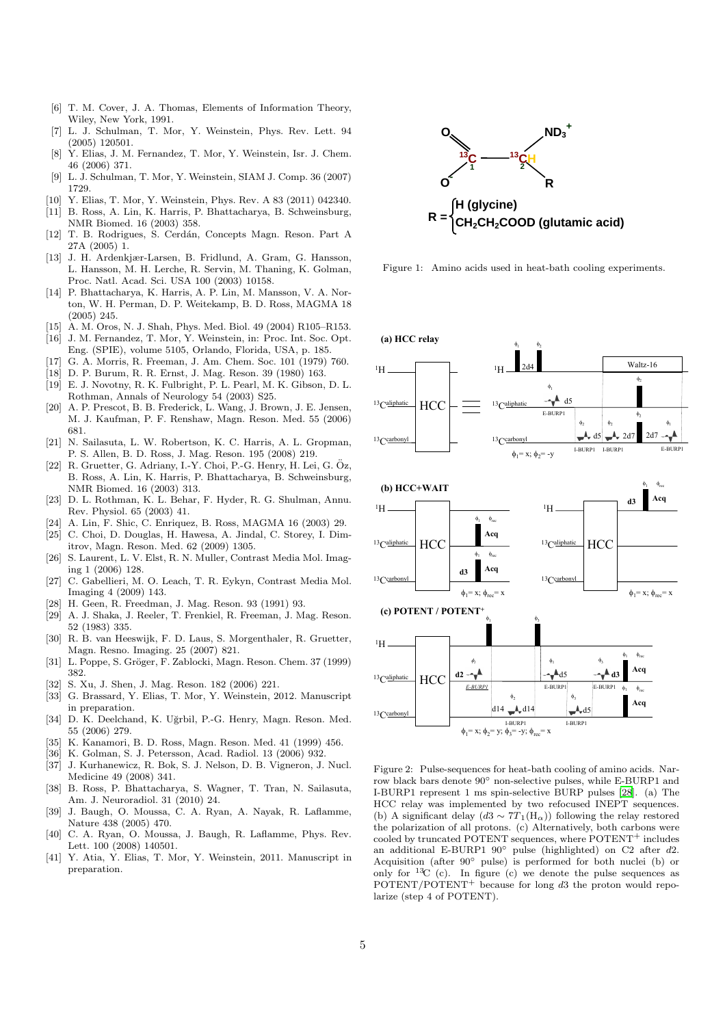- <span id="page-4-0"></span>[6] T. M. Cover, J. A. Thomas, Elements of Information Theory, Wiley, New York, 1991.
- <span id="page-4-1"></span>[7] L. J. Schulman, T. Mor, Y. Weinstein, Phys. Rev. Lett. 94 (2005) 120501.
- <span id="page-4-2"></span>[8] Y. Elias, J. M. Fernandez, T. Mor, Y. Weinstein, Isr. J. Chem. 46 (2006) 371.
- <span id="page-4-3"></span>[9] L. J. Schulman, T. Mor, Y. Weinstein, SIAM J. Comp. 36 (2007) 1729.
- <span id="page-4-4"></span>[10] Y. Elias, T. Mor, Y. Weinstein, Phys. Rev. A 83 (2011) 042340.
- <span id="page-4-5"></span>[11] B. Ross, A. Lin, K. Harris, P. Bhattacharya, B. Schweinsburg, NMR Biomed. 16 (2003) 358.
- <span id="page-4-6"></span>[12] T. B. Rodrigues, S. Cerdán, Concepts Magn. Reson. Part A 27A (2005) 1.
- <span id="page-4-7"></span>[13] J. H. Ardenkjær-Larsen, B. Fridlund, A. Gram, G. Hansson, L. Hansson, M. H. Lerche, R. Servin, M. Thaning, K. Golman, Proc. Natl. Acad. Sci. USA 100 (2003) 10158.
- <span id="page-4-8"></span>[14] P. Bhattacharya, K. Harris, A. P. Lin, M. Mansson, V. A. Norton, W. H. Perman, D. P. Weitekamp, B. D. Ross, MAGMA 18 (2005) 245.
- <span id="page-4-9"></span>[15] A. M. Oros, N. J. Shah, Phys. Med. Biol. 49 (2004) R105–R153.
- <span id="page-4-10"></span>[16] J. M. Fernandez, T. Mor, Y. Weinstein, in: Proc. Int. Soc. Opt. Eng. (SPIE), volume 5105, Orlando, Florida, USA, p. 185.
- <span id="page-4-11"></span>[17] G. A. Morris, R. Freeman, J. Am. Chem. Soc. 101 (1979) 760.
- <span id="page-4-12"></span>[18] D. P. Burum, R. R. Ernst, J. Mag. Reson. 39 (1980) 163.
- <span id="page-4-13"></span>[19] E. J. Novotny, R. K. Fulbright, P. L. Pearl, M. K. Gibson, D. L. Rothman, Annals of Neurology 54 (2003) S25.
- <span id="page-4-14"></span>[20] A. P. Prescot, B. B. Frederick, L. Wang, J. Brown, J. E. Jensen, M. J. Kaufman, P. F. Renshaw, Magn. Reson. Med. 55 (2006) 681.
- <span id="page-4-15"></span>[21] N. Sailasuta, L. W. Robertson, K. C. Harris, A. L. Gropman, P. S. Allen, B. D. Ross, J. Mag. Reson. 195 (2008) 219.
- <span id="page-4-16"></span> $[22]$  R. Gruetter, G. Adriany, I.-Y. Choi, P.-G. Henry, H. Lei, G. Öz, B. Ross, A. Lin, K. Harris, P. Bhattacharya, B. Schweinsburg, NMR Biomed. 16 (2003) 313.
- <span id="page-4-17"></span>[23] D. L. Rothman, K. L. Behar, F. Hyder, R. G. Shulman, Annu. Rev. Physiol. 65 (2003) 41.
- <span id="page-4-18"></span>[24] A. Lin, F. Shic, C. Enriquez, B. Ross, MAGMA 16 (2003) 29.
- <span id="page-4-19"></span>[25] C. Choi, D. Douglas, H. Hawesa, A. Jindal, C. Storey, I. Dimitrov, Magn. Reson. Med. 62 (2009) 1305.
- <span id="page-4-21"></span>[26] S. Laurent, L. V. Elst, R. N. Muller, Contrast Media Mol. Imaging 1 (2006) 128.
- <span id="page-4-22"></span>[27] C. Gabellieri, M. O. Leach, T. R. Eykyn, Contrast Media Mol. Imaging 4 (2009) 143.
- <span id="page-4-23"></span>[28] H. Geen, R. Freedman, J. Mag. Reson. 93 (1991) 93.
- <span id="page-4-24"></span>[29] A. J. Shaka, J. Reeler, T. Frenkiel, R. Freeman, J. Mag. Reson. 52 (1983) 335.
- <span id="page-4-26"></span>[30] R. B. van Heeswijk, F. D. Laus, S. Morgenthaler, R. Gruetter, Magn. Resno. Imaging. 25 (2007) 821.
- <span id="page-4-27"></span>[31] L. Poppe, S. Gröger, F. Zablocki, Magn. Reson. Chem. 37 (1999) 382.
- <span id="page-4-28"></span>[32] S. Xu, J. Shen, J. Mag. Reson. 182 (2006) 221.
- <span id="page-4-29"></span>[33] G. Brassard, Y. Elias, T. Mor, Y. Weinstein, 2012. Manuscript in preparation.
- <span id="page-4-30"></span>[34] D. K. Deelchand, K. Uğrbil, P.-G. Henry, Magn. Reson. Med. 55 (2006) 279.
- <span id="page-4-31"></span>[35] K. Kanamori, B. D. Ross, Magn. Reson. Med. 41 (1999) 456.
- <span id="page-4-32"></span>[36] K. Golman, S. J. Petersson, Acad. Radiol. 13 (2006) 932.
- <span id="page-4-33"></span>[37] J. Kurhanewicz, R. Bok, S. J. Nelson, D. B. Vigneron, J. Nucl. Medicine 49 (2008) 341.
- <span id="page-4-34"></span>[38] B. Ross, P. Bhattacharya, S. Wagner, T. Tran, N. Sailasuta, Am. J. Neuroradiol. 31 (2010) 24.
- <span id="page-4-35"></span>[39] J. Baugh, O. Moussa, C. A. Ryan, A. Nayak, R. Laflamme, Nature 438 (2005) 470.
- <span id="page-4-36"></span>[40] C. A. Ryan, O. Moussa, J. Baugh, R. Laflamme, Phys. Rev. Lett. 100 (2008) 140501.
- <span id="page-4-37"></span>[41] Y. Atia, Y. Elias, T. Mor, Y. Weinstein, 2011. Manuscript in preparation.



<span id="page-4-20"></span>Figure 1: Amino acids used in heat-bath cooling experiments.

(a) HCC relay





<span id="page-4-25"></span>Figure 2: Pulse-sequences for heat-bath cooling of amino acids. Narrow black bars denote  $90^\circ$  non-selective pulses, while E-BURP1 and I-BURP1 represent 1 ms spin-selective BURP pulses [\[28\]](#page-4-23). (a) The HCC relay was implemented by two refocused INEPT sequences. (b) A significant delay  $(d3 \sim 7T_1(H_\alpha))$  following the relay restored the polarization of all protons. (c) Alternatively, both carbons were cooled by truncated POTENT sequences, where POTENT<sup>+</sup> includes an additional E-BURP1 90◦ pulse (highlighted) on C2 after d2. Acquisition (after 90◦ pulse) is performed for both nuclei (b) or only for  $13C$  (c). In figure (c) we denote the pulse sequences as  $POTENT/POTENT+$  because for long  $d3$  the proton would repolarize (step 4 of POTENT).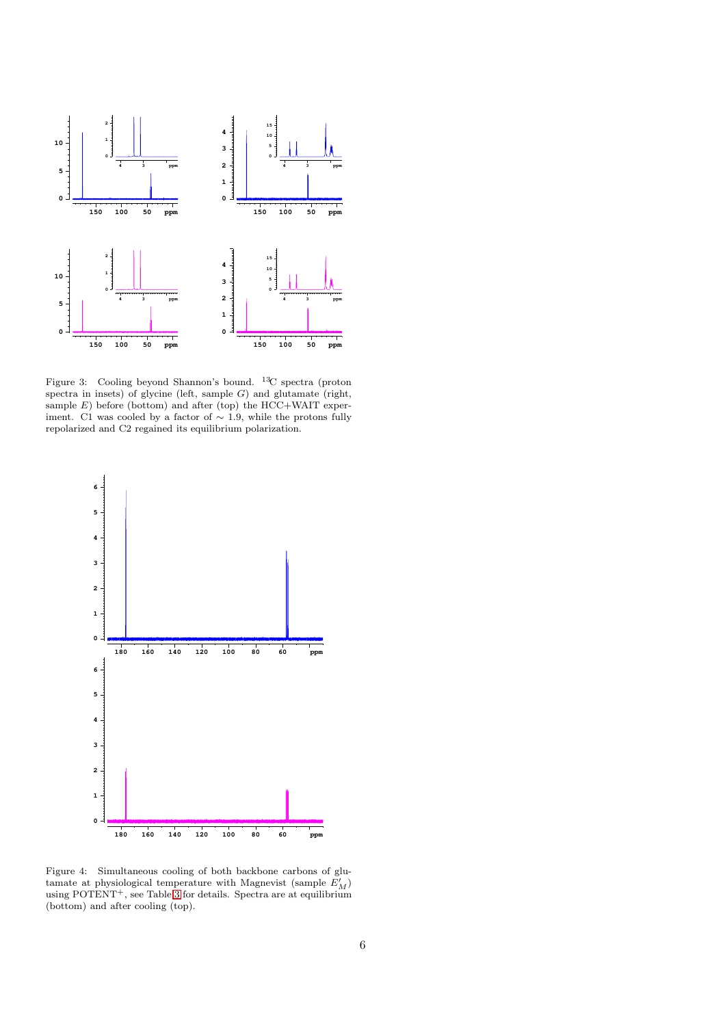

<span id="page-5-0"></span>Figure 3: Cooling beyond Shannon's bound. <sup>13</sup>C spectra (proton spectra in insets) of glycine (left, sample  $G$ ) and glutamate (right, sample  $E$ ) before (bottom) and after (top) the HCC+WAIT experiment. C1 was cooled by a factor of  $\sim$  1.9, while the protons fully repolarized and C2 regained its equilibrium polarization.



<span id="page-5-1"></span>Figure 4: Simultaneous cooling of both backbone carbons of glutamate at physiological temperature with Magnevist (sample  $E'_M$ ) using POTENT<sup>+</sup>, see Table [3](#page-6-2) for details. Spectra are at equilibrium (bottom) and after cooling (top).